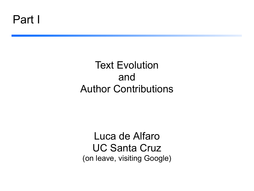### Text Evolution and Author Contributions

Luca de Alfaro UC Santa Cruz (on leave, visiting Google)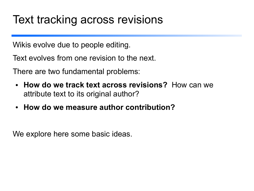### Text tracking across revisions

Wikis evolve due to people editing.

Text evolves from one revision to the next.

There are two fundamental problems:

- **How do we track text across revisions?** How can we attribute text to its original author?
- **How do we measure author contribution?**

We explore here some basic ideas.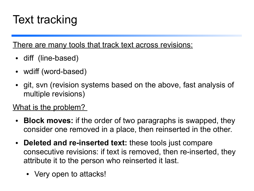# Text tracking

There are many tools that track text across revisions:

- diff (line-based)
- wdiff (word-based)
- git, svn (revision systems based on the above, fast analysis of multiple revisions)

#### What is the problem?

- **Block moves:** if the order of two paragraphs is swapped, they consider one removed in a place, then reinserted in the other.
- **Deleted and re-inserted text:** these tools just compare consecutive revisions: if text is removed, then re-inserted, they attribute it to the person who reinserted it last.
	- Very open to attacks!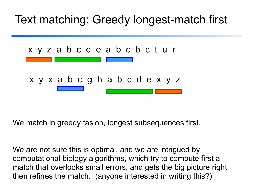## Text matching: Greedy longest-match first



We match in greedy fasion, longest subsequences first.

We are not sure this is optimal, and we are intrigued by computational biology algorithms, which try to compute first a match that overlooks small errors, and gets the big picture right, then refines the match. (anyone interested in writing this?)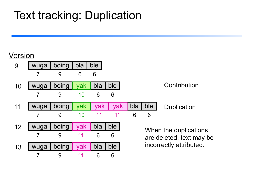# Text tracking: Duplication

#### Version

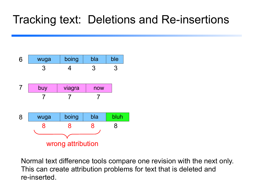## Tracking text: Deletions and Re-insertions



Normal text difference tools compare one revision with the next only. This can create attribution problems for text that is deleted and re-inserted.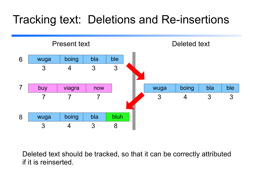## Tracking text: Deletions and Re-insertions



Deleted text should be tracked, so that it can be correctly attributed if it is reinserted.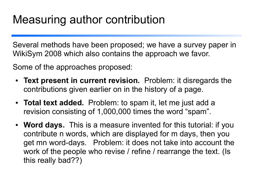# Measuring author contribution

Several methods have been proposed; we have a survey paper in WikiSym 2008 which also contains the approach we favor.

Some of the approaches proposed:

- **Text present in current revision.** Problem: it disregards the contributions given earlier on in the history of a page.
- **Total text added.** Problem: to spam it, let me just add a revision consisting of 1,000,000 times the word "spam".
- **Word days.** This is a measure invented for this tutorial: if you contribute n words, which are displayed for m days, then you get mn word-days. Problem: it does not take into account the work of the people who revise / refine / rearrange the text. (Is this really bad??)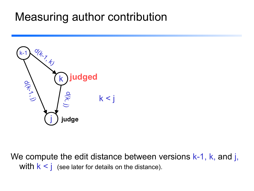## Measuring author contribution



We compute the edit distance between versions  $k-1$ , k, and j, with  $k < j$  (see later for details on the distance).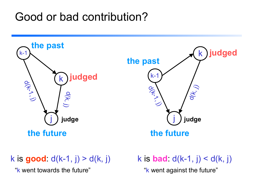## Good or bad contribution?



k is **good**:  $d(k-1, j) > d(k, j)$ 

"k went towards the future" The same way went against the future"

k is **bad**:  $d(k-1, j) < d(k, j)$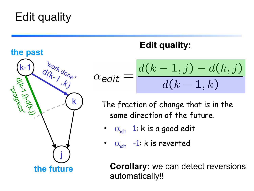# Edit quality



### **Edit quality:**

$$
\alpha_{edit} = \frac{d(k-1,j) - d(k,j)}{d(k-1,k)}
$$

The fraction of change that is in the same direction of the future.

- **α**<sub>edit</sub> 1: k is a good edit
- α**edit** -1: k is reverted

**Corollary:** we can detect reversions automatically!!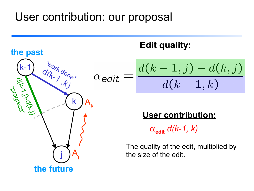## User contribution: our proposal



### **Edit quality:**

$$
=\frac{d(k-1,j)-d(k,j)}{d(k-1,k)}
$$

### **User contribution:**

 $\alpha_{\text{edit}}$  *d*(*k-1, k*)

The quality of the edit, multiplied by the size of the edit.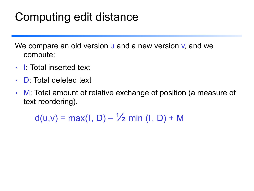# Computing edit distance

We compare an old version u and a new version v, and we compute:

- I: Total inserted text
- **D:** Total deleted text
- M: Total amount of relative exchange of position (a measure of text reordering).

 $d(u,v) = max(1, D) - \frac{1}{2} min(1, D) + M$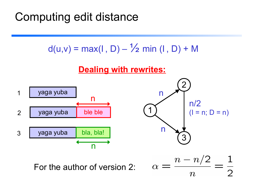# Computing edit distance





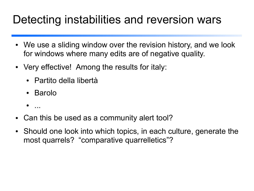## Detecting instabilities and reversion wars

- We use a sliding window over the revision history, and we look for windows where many edits are of negative quality.
- Very effective! Among the results for italy:
	- Partito della libertà
	- Barolo
	- ...
- Can this be used as a community alert tool?
- Should one look into which topics, in each culture, generate the most quarrels? "comparative quarrelletics"?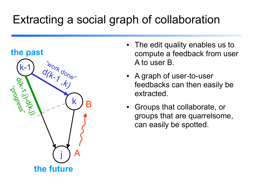# Extracting a social graph of collaboration



- The edit quality enables us to compute a feedback from user A to user B.
- A graph of user-to-user feedbacks can then easily be extracted.
- Groups that collaborate, or groups that are quarrelsome, can easily be spotted.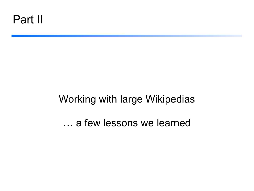### Working with large Wikipedias

… a few lessons we learned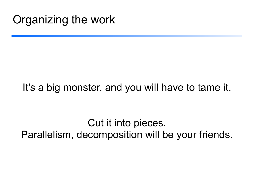### It's a big monster, and you will have to tame it.

Cut it into pieces. Parallelism, decomposition will be your friends.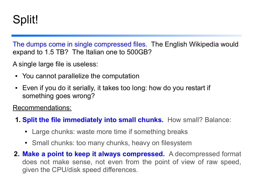## Split!

The dumps come in single compressed files. The English Wikipedia would expand to 1.5 TB? The Italian one to 500GB?

A single large file is useless:

- You cannot parallelize the computation
- Even if you do it serially, it takes too long: how do you restart if something goes wrong?

Recommendations:

- **1. Split the file immediately into small chunks.** How small? Balance:
	- Large chunks: waste more time if something breaks
	- Small chunks: too many chunks, heavy on filesystem
- **2. Make a point to keep it always compressed.** A decompressed format does not make sense, not even from the point of view of raw speed, given the CPU/disk speed differences.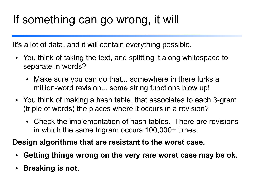# If something can go wrong, it will

It's a lot of data, and it will contain everything possible.

- You think of taking the text, and splitting it along whitespace to separate in words?
	- Make sure you can do that... somewhere in there lurks a million-word revision... some string functions blow up!
- You think of making a hash table, that associates to each 3-gram (triple of words) the places where it occurs in a revision?
	- Check the implementation of hash tables. There are revisions in which the same trigram occurs 100,000+ times.

**Design algorithms that are resistant to the worst case.**

- **Getting things wrong on the very rare worst case may be ok.**
- **Breaking is not.**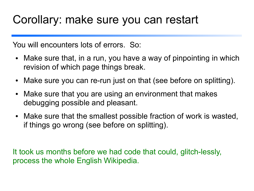### Corollary: make sure you can restart

You will encounters lots of errors. So:

- Make sure that, in a run, you have a way of pinpointing in which revision of which page things break.
- Make sure you can re-run just on that (see before on splitting).
- Make sure that you are using an environment that makes debugging possible and pleasant.
- Make sure that the smallest possible fraction of work is wasted, if things go wrong (see before on splitting).

It took us months before we had code that could, glitch-lessly, process the whole English Wikipedia.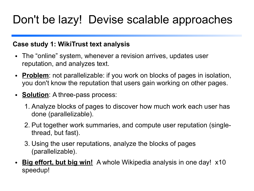# Don't be lazy! Devise scalable approaches

#### **Case study 1: WikiTrust text analysis**

- The "online" system, whenever a revision arrives, updates user reputation, and analyzes text.
- Problem: not parallelizable: if you work on blocks of pages in isolation, you don't know the reputation that users gain working on other pages.
- **Solution**: A three-pass process:
	- 1. Analyze blocks of pages to discover how much work each user has done (parallelizable).
	- 2. Put together work summaries, and compute user reputation (singlethread, but fast).
	- 3. Using the user reputations, analyze the blocks of pages (parallelizable).
- **Big effort, but big win!** A whole Wikipedia analysis in one day! x10 speedup!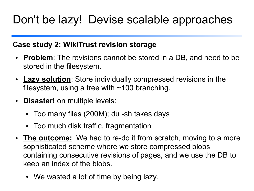# Don't be lazy! Devise scalable approaches

#### **Case study 2: WikiTrust revision storage**

- **Problem**: The revisions cannot be stored in a DB, and need to be stored in the filesystem.
- **Lazy solution**: Store individually compressed revisions in the filesystem, using a tree with  $\sim$ 100 branching.
- **Disaster!** on multiple levels:
	- Too many files (200M); du -sh takes days
	- Too much disk traffic, fragmentation
- The **outcome:** We had to re-do it from scratch, moving to a more sophisticated scheme where we store compressed blobs containing consecutive revisions of pages, and we use the DB to keep an index of the blobs.
	- We wasted a lot of time by being lazy.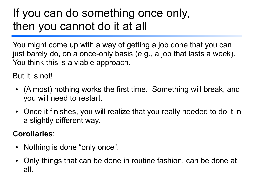# If you can do something once only, then you cannot do it at all

You might come up with a way of getting a job done that you can just barely do, on a once-only basis (e.g., a job that lasts a week). You think this is a viable approach.

But it is not!

- (Almost) nothing works the first time. Something will break, and you will need to restart.
- Once it finishes, you will realize that you really needed to do it in a slightly different way.

#### **Corollaries**:

- Nothing is done "only once".
- Only things that can be done in routine fashion, can be done at all.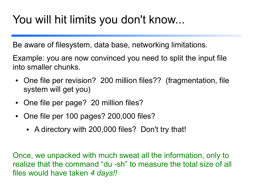# You will hit limits you don't know...

Be aware of filesystem, data base, networking limitations.

Example: you are now convinced you need to split the input file into smaller chunks.

- One file per revision? 200 million files?? (fragmentation, file system will get you)
- One file per page? 20 million files?
- One file per 100 pages? 200,000 files?
	- A directory with 200,000 files? Don't try that!

Once, we unpacked with much sweat all the information, only to realize that the command "du -sh" to measure the total size of all files would have taken *4 days!!*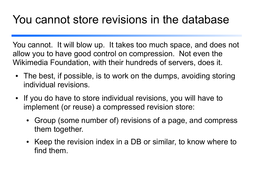## You cannot store revisions in the database

You cannot. It will blow up. It takes too much space, and does not allow you to have good control on compression. Not even the Wikimedia Foundation, with their hundreds of servers, does it.

- The best, if possible, is to work on the dumps, avoiding storing individual revisions.
- If you do have to store individual revisions, you will have to implement (or reuse) a compressed revision store:
	- Group (some number of) revisions of a page, and compress them together.
	- Keep the revision index in a DB or similar, to know where to find them.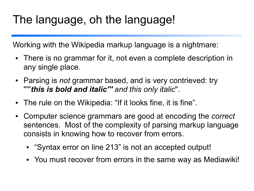# The language, oh the language!

Working with the Wikipedia markup language is a nightmare:

- There is no grammar for it, not even a complete description in any single place.
- Parsing is *not* grammar based, and is very contrieved: try '''''*this is bold and italic''' and this only italic*''.
- The rule on the Wikipedia: "If it looks fine, it is fine".
- Computer science grammars are good at encoding the *correct* sentences. Most of the complexity of parsing markup language consists in knowing how to recover from errors.
	- "Syntax error on line 213" is not an accepted output!
	- You must recover from errors in the same way as Mediawiki!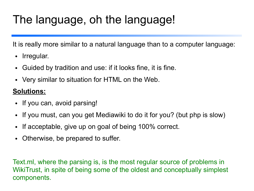# The language, oh the language!

It is really more similar to a natural language than to a computer language:

- Irregular.
- Guided by tradition and use: if it looks fine, it is fine.
- Very similar to situation for HTML on the Web.

#### **Solutions:**

- If you can, avoid parsing!
- If you must, can you get Mediawiki to do it for you? (but php is slow)
- If acceptable, give up on goal of being 100% correct.
- Otherwise, be prepared to suffer.

Text.ml, where the parsing is, is the most regular source of problems in WikiTrust, in spite of being some of the oldest and conceptually simplest components.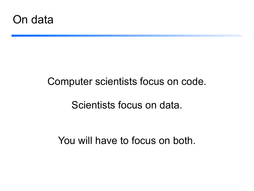

### Computer scientists focus on code.

### Scientists focus on data.

You will have to focus on both.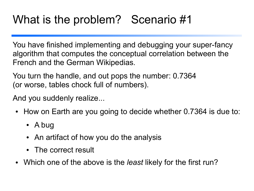# What is the problem? Scenario #1

You have finished implementing and debugging your super-fancy algorithm that computes the conceptual correlation between the French and the German Wikipedias.

You turn the handle, and out pops the number: 0.7364 (or worse, tables chock full of numbers).

And you suddenly realize...

- How on Earth are you going to decide whether 0.7364 is due to:
	- A bug
	- An artifact of how you do the analysis
	- The correct result
- Which one of the above is the *least* likely for the first run?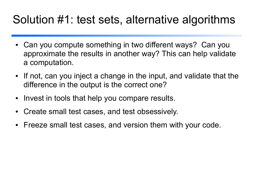## Solution #1: test sets, alternative algorithms

- Can you compute something in two different ways? Can you approximate the results in another way? This can help validate a computation.
- If not, can you inject a change in the input, and validate that the difference in the output is the correct one?
- Invest in tools that help you compare results.
- Create small test cases, and test obsessively.
- Freeze small test cases, and version them with your code.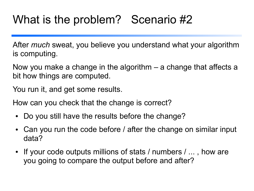# What is the problem? Scenario #2

After *much* sweat, you believe you understand what your algorithm is computing.

Now you make a change in the algorithm – a change that affects a bit how things are computed.

You run it, and get some results.

How can you check that the change is correct?

- Do you still have the results before the change?
- Can you run the code before / after the change on similar input data?
- If your code outputs millions of stats / numbers / ..., how are you going to compare the output before and after?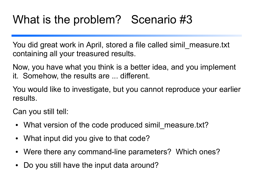# What is the problem? Scenario #3

You did great work in April, stored a file called simil\_measure.txt containing all your treasured results.

Now, you have what you think is a better idea, and you implement it. Somehow, the results are ... different.

You would like to investigate, but you cannot reproduce your earlier results.

Can you still tell:

- What version of the code produced simil measure.txt?
- What input did you give to that code?
- Were there any command-line parameters? Which ones?
- Do you still have the input data around?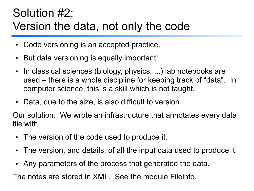# Solution #2: Version the data, not only the code

- Code versioning is an accepted practice.
- But data versioning is equally important!
- In classical sciences (biology, physics, ...) lab notebooks are used – there is a whole discipline for keeping track of "data". In computer science, this is a skill which is not taught.
- Data, due to the size, is also difficult to version.

Our solution: We wrote an infrastructure that annotates every data file with:

- The version of the code used to produce it.
- The version, and details, of all the input data used to produce it.
- Any parameters of the process that generated the data.

The notes are stored in XML. See the module Fileinfo.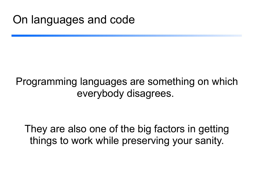### Programming languages are something on which everybody disagrees.

They are also one of the big factors in getting things to work while preserving your sanity.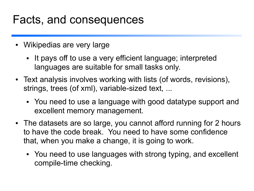### Facts, and consequences

- Wikipedias are very large
	- It pays off to use a very efficient language; interpreted languages are suitable for small tasks only.
- Text analysis involves working with lists (of words, revisions), strings, trees (of xml), variable-sized text, ...
	- You need to use a language with good datatype support and excellent memory management.
- The datasets are so large, you cannot afford running for 2 hours to have the code break. You need to have some confidence that, when you make a change, it is going to work.
	- You need to use languages with strong typing, and excellent compile-time checking.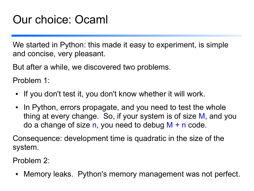# Our choice: Ocaml

We started in Python: this made it easy to experiment, is simple and concise, very pleasant.

But after a while, we discovered two problems.

Problem 1:

- If you don't test it, you don't know whether it will work.
- In Python, errors propagate, and you need to test the whole thing at every change. So, if your system is of size M, and you do a change of size n, you need to debug  $M + n$  code.

Consequence: development time is quadratic in the size of the system.

Problem 2:

• Memory leaks. Python's memory management was not perfect.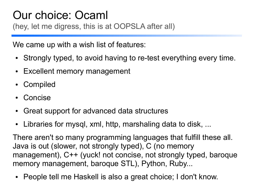### Our choice: Ocaml (hey, let me digress, this is at OOPSLA after all)

We came up with a wish list of features:

- Strongly typed, to avoid having to re-test everything every time.
- Excellent memory management
- Compiled
- **Concise**
- Great support for advanced data structures
- Libraries for mysql, xml, http, marshaling data to disk, ...

There aren't so many programming languages that fulfill these all. Java is out (slower, not strongly typed), C (no memory management), C++ (yuck! not concise, not strongly typed, baroque memory management, baroque STL), Python, Ruby...

• People tell me Haskell is also a great choice; I don't know.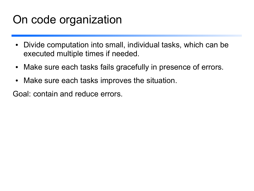## On code organization

- Divide computation into small, individual tasks, which can be executed multiple times if needed.
- Make sure each tasks fails gracefully in presence of errors.
- Make sure each tasks improves the situation.

Goal: contain and reduce errors.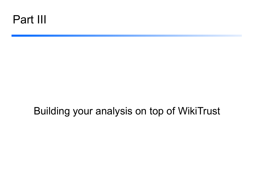

### Building your analysis on top of WikiTrust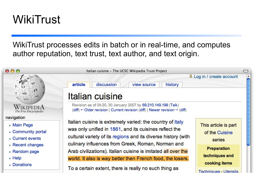# **WikiTrust**

WikiTrust processes edits in batch or in real-time, and computes author reputation, text trust, text author, and text origin.

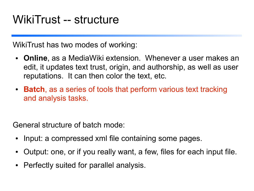WikiTrust has two modes of working:

- **Online**, as a MediaWiki extension. Whenever a user makes an edit, it updates text trust, origin, and authorship, as well as user reputations. It can then color the text, etc.
- **Batch**, as a series of tools that perform various text tracking and analysis tasks.

General structure of batch mode:

- Input: a compressed xml file containing some pages.
- Output: one, or if you really want, a few, files for each input file.
- Perfectly suited for parallel analysis.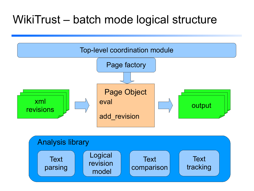## WikiTrust – batch mode logical structure

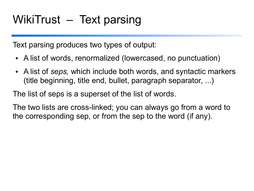Text parsing produces two types of output:

- A list of words, renormalized (lowercased, no punctuation)
- A list of *seps,* which include both words, and syntactic markers (title beginning, title end, bullet, paragraph separator, ...)

The list of seps is a superset of the list of words.

The two lists are cross-linked; you can always go from a word to the corresponding sep, or from the sep to the word (if any).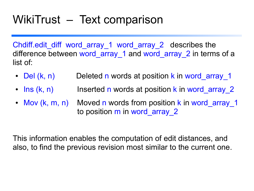# WikiTrust – Text comparison

Chdiff.edit\_diff word\_array\_1 word\_array\_2 describes the difference between word array 1 and word array 2 in terms of a list of:

- Del (k, n) Deleted n words at position k in word array 1
- Ins  $(k, n)$  Inserted n words at position k in word array 2
- Mov (k, m, n) Moved n words from position k in word array 1 to position m in word array 2

This information enables the computation of edit distances, and also, to find the previous revision most similar to the current one.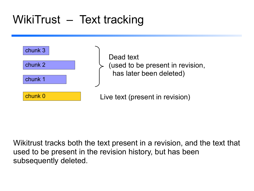# WikiTrust – Text tracking



Dead text (used to be present in revision, has later been deleted)

Live text (present in revision)

Wikitrust tracks both the text present in a revision, and the text that used to be present in the revision history, but has been subsequently deleted.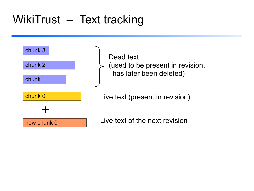# WikiTrust - Text tracking



Dead text (used to be present in revision, has later been deleted)

Live text (present in revision)

Live text of the next revision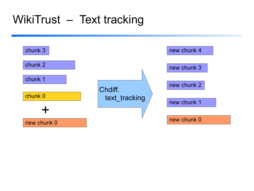# WikiTrust - Text tracking

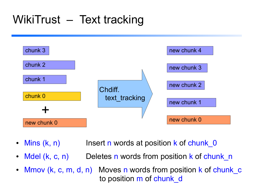# WikiTrust – Text tracking



- Mins (k, n) Insert n words at position k of chunk 0
- Mdel (k, c, n) Deletes n words from position k of chunk n
- Mmov (k, c, m, d, n) Moves n words from position k of chunk c to position m of chunk d